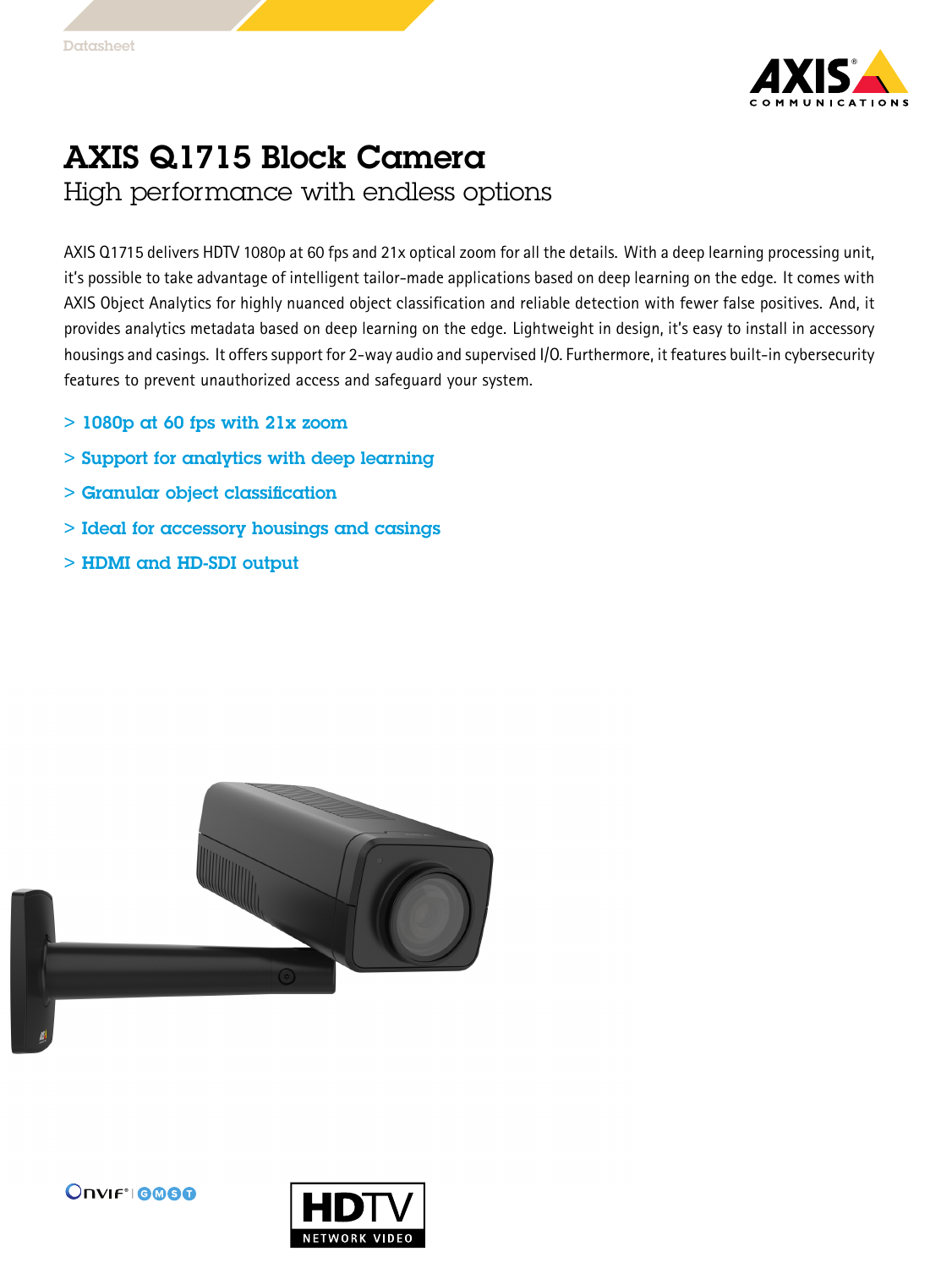

## AXIS Q1715 Block Camera

High performance with endless options

AXIS Q1715 delivers HDTV 1080p at 60 fps and 21x optical zoom for all the details. With <sup>a</sup> deep learning processing unit, it's possible to take advantage of intelligent tailor-made applications based on deep learning on the edge. It comes with AXIS Object Analytics for highly nuanced object classification and reliable detection with fewer false positives. And, it provides analytics metadata based on deep learning on the edge. Lightweight in design, it's easy to install in accessory housings and casings. It offers support for 2-way audio and supervised I/O. Furthermore, it features built-in cybersecurity features to prevent unauthorized access and safeguard your system.

- $>$  1080p at 60 fps with 21x zoom
- > Support for analytics with deep learning
- > Granular object classification
- > Ideal for accessory housings and casings
- > HDMI and HD-SDI output





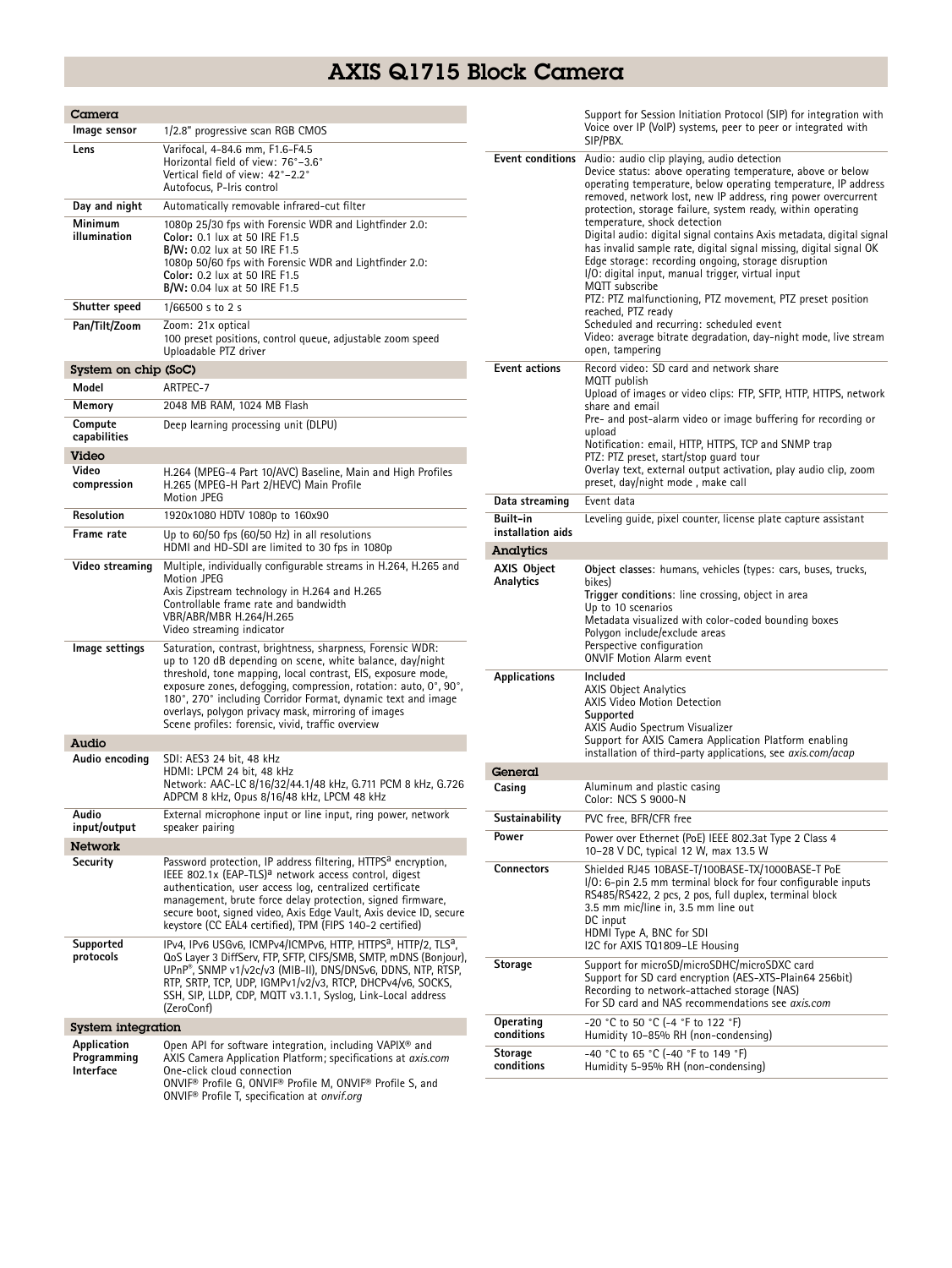## AXIS Q1715 Block Camera

| Camera                                  |                                                                                                                                                                                                                                                                                                                                                                                                                                         |  |  |
|-----------------------------------------|-----------------------------------------------------------------------------------------------------------------------------------------------------------------------------------------------------------------------------------------------------------------------------------------------------------------------------------------------------------------------------------------------------------------------------------------|--|--|
| Image sensor                            | 1/2.8" progressive scan RGB CMOS                                                                                                                                                                                                                                                                                                                                                                                                        |  |  |
| Lens                                    | Varifocal, 4-84.6 mm, F1.6-F4.5<br>Horizontal field of view: 76°-3.6°<br>Vertical field of view: 42°-2.2°<br>Autofocus, P-Iris control                                                                                                                                                                                                                                                                                                  |  |  |
| Day and night                           | Automatically removable infrared-cut filter                                                                                                                                                                                                                                                                                                                                                                                             |  |  |
| Minimum<br>illumination                 | 1080p 25/30 fps with Forensic WDR and Lightfinder 2.0:<br>Color: 0.1 lux at 50 IRE F1.5<br><b>B/W:</b> 0.02 lux at 50 IRE F1.5<br>1080p 50/60 fps with Forensic WDR and Lightfinder 2.0:<br>Color: 0.2 lux at 50 IRE F1.5<br><b>B/W:</b> 0.04 lux at 50 IRE F1.5                                                                                                                                                                        |  |  |
| Shutter speed                           | 1/66500 s to 2 s                                                                                                                                                                                                                                                                                                                                                                                                                        |  |  |
| Pan/Tilt/Zoom                           | Zoom: 21x optical<br>100 preset positions, control queue, adjustable zoom speed<br>Uploadable PTZ driver                                                                                                                                                                                                                                                                                                                                |  |  |
| System on chip (SoC)                    |                                                                                                                                                                                                                                                                                                                                                                                                                                         |  |  |
| Model                                   | ARTPEC-7                                                                                                                                                                                                                                                                                                                                                                                                                                |  |  |
| Memory                                  | 2048 MB RAM, 1024 MB Flash                                                                                                                                                                                                                                                                                                                                                                                                              |  |  |
| Compute                                 | Deep learning processing unit (DLPU)                                                                                                                                                                                                                                                                                                                                                                                                    |  |  |
| capabilities                            |                                                                                                                                                                                                                                                                                                                                                                                                                                         |  |  |
| Video<br>Video<br>compression           | H.264 (MPEG-4 Part 10/AVC) Baseline, Main and High Profiles<br>H.265 (MPEG-H Part 2/HEVC) Main Profile<br>Motion JPEG                                                                                                                                                                                                                                                                                                                   |  |  |
| <b>Resolution</b>                       | 1920x1080 HDTV 1080p to 160x90                                                                                                                                                                                                                                                                                                                                                                                                          |  |  |
| Frame rate                              | Up to 60/50 fps (60/50 Hz) in all resolutions<br>HDMI and HD-SDI are limited to 30 fps in 1080p                                                                                                                                                                                                                                                                                                                                         |  |  |
| Video streaming                         | Multiple, individually configurable streams in H.264, H.265 and<br>Motion JPEG<br>Axis Zipstream technology in H.264 and H.265<br>Controllable frame rate and bandwidth<br>VBR/ABR/MBR H.264/H.265<br>Video streaming indicator                                                                                                                                                                                                         |  |  |
| lmage settings                          | Saturation, contrast, brightness, sharpness, Forensic WDR:<br>up to 120 dB depending on scene, white balance, day/night<br>threshold, tone mapping, local contrast, EIS, exposure mode,<br>exposure zones, defogging, compression, rotation: auto, 0°, 90°,<br>180°, 270° including Corridor Format, dynamic text and image<br>overlays, polygon privacy mask, mirroring of images<br>Scene profiles: forensic, vivid, traffic overview |  |  |
| Audio                                   |                                                                                                                                                                                                                                                                                                                                                                                                                                         |  |  |
| Audio encoding                          | SDI: AES3 24 bit, 48 kHz<br>HDMI: LPCM 24 bit, 48 kHz<br>Network: AAC-LC 8/16/32/44.1/48 kHz, G.711 PCM 8 kHz, G.726<br>ADPCM 8 kHz, Opus 8/16/48 kHz, LPCM 48 kHz                                                                                                                                                                                                                                                                      |  |  |
| Audio<br>input/output                   | External microphone input or line input, ring power, network<br>speaker pairing                                                                                                                                                                                                                                                                                                                                                         |  |  |
| Network                                 |                                                                                                                                                                                                                                                                                                                                                                                                                                         |  |  |
| Security                                | Password protection, IP address filtering, HTTPS <sup>a</sup> encryption,<br>IEEE 802.1x (EAP-TLS) <sup>a</sup> network access control, digest<br>authentication, user access log, centralized certificate<br>management, brute force delay protection, signed firmware,<br>secure boot, signed video, Axis Edge Vault, Axis device ID, secure<br>keystore (CC EAL4 certified), TPM (FIPS 140-2 certified)                              |  |  |
| Supported<br>protocols                  | IPv4, IPv6 USGv6, ICMPv4/ICMPv6, HTTP, HTTPS <sup>a</sup> , HTTP/2, TLS <sup>a</sup> ,<br>QoS Layer 3 DiffServ, FTP, SFTP, CIFS/SMB, SMTP, mDNS (Bonjour),<br>UPnP®, SNMP v1/v2c/v3 (MIB-II), DNS/DNSv6, DDNS, NTP, RTSP,<br>RTP, SRTP, TCP, UDP, IGMPv1/v2/v3, RTCP, DHCPv4/v6, SOCKS,<br>SSH, SIP, LLDP, CDP, MQTT v3.1.1, Syslog, Link-Local address<br>(ZeroConf)                                                                   |  |  |
| <b>System integration</b>               |                                                                                                                                                                                                                                                                                                                                                                                                                                         |  |  |
| Application<br>Programming<br>Interface | Open API for software integration, including VAPIX <sup>®</sup> and<br>AXIS Camera Application Platform; specifications at axis.com<br>One-click cloud connection<br>ONVIF® Profile G, ONVIF® Profile M, ONVIF® Profile S, and<br>ONVIF <sup>®</sup> Profile T, specification at onvif.org                                                                                                                                              |  |  |

|                               | Support for Session Initiation Protocol (SIP) for integration with<br>Voice over IP (VoIP) systems, peer to peer or integrated with<br>SIP/PBX.                                                                                                                                                                                                                                                                                                                                                                                                                                                                                                                                                                                                                                                                                              |
|-------------------------------|----------------------------------------------------------------------------------------------------------------------------------------------------------------------------------------------------------------------------------------------------------------------------------------------------------------------------------------------------------------------------------------------------------------------------------------------------------------------------------------------------------------------------------------------------------------------------------------------------------------------------------------------------------------------------------------------------------------------------------------------------------------------------------------------------------------------------------------------|
| <b>Event conditions</b>       | Audio: audio clip playing, audio detection<br>Device status: above operating temperature, above or below<br>operating temperature, below operating temperature, IP address<br>removed, network lost, new IP address, ring power overcurrent<br>protection, storage failure, system ready, within operating<br>temperature, shock detection<br>Digital audio: digital signal contains Axis metadata, digital signal<br>has invalid sample rate, digital signal missing, digital signal OK<br>Edge storage: recording ongoing, storage disruption<br>I/O: digital input, manual trigger, virtual input<br>MQTT subscribe<br>PTZ: PTZ malfunctioning, PTZ movement, PTZ preset position<br>reached, PTZ ready<br>Scheduled and recurring: scheduled event<br>Video: average bitrate degradation, day-night mode, live stream<br>open, tampering |
| <b>Event actions</b>          | Record video: SD card and network share<br>MQTT publish<br>Upload of images or video clips: FTP, SFTP, HTTP, HTTPS, network<br>share and email<br>Pre- and post-alarm video or image buffering for recording or<br>upload<br>Notification: email, HTTP, HTTPS, TCP and SNMP trap<br>PTZ: PTZ preset, start/stop quard tour<br>Overlay text, external output activation, play audio clip, zoom<br>preset, day/night mode, make call<br>Event data                                                                                                                                                                                                                                                                                                                                                                                             |
| Data streaming                |                                                                                                                                                                                                                                                                                                                                                                                                                                                                                                                                                                                                                                                                                                                                                                                                                                              |
| Built-in<br>installation aids | Leveling quide, pixel counter, license plate capture assistant                                                                                                                                                                                                                                                                                                                                                                                                                                                                                                                                                                                                                                                                                                                                                                               |
| Analytics                     |                                                                                                                                                                                                                                                                                                                                                                                                                                                                                                                                                                                                                                                                                                                                                                                                                                              |
| AXIS Object<br>Analytics      | Object classes: humans, vehicles (types: cars, buses, trucks,<br>bikes)<br>Trigger conditions: line crossing, object in area<br>Up to 10 scenarios<br>Metadata visualized with color-coded bounding boxes<br>Polygon include/exclude areas<br>Perspective configuration<br><b>ONVIF Motion Alarm event</b>                                                                                                                                                                                                                                                                                                                                                                                                                                                                                                                                   |
| Applications                  | Included<br><b>AXIS Object Analytics</b><br>AXIS Video Motion Detection<br>Supported<br>AXIS Audio Spectrum Visualizer<br>Support for AXIS Camera Application Platform enabling<br>installation of third-party applications, see <i>axis.com/acap</i>                                                                                                                                                                                                                                                                                                                                                                                                                                                                                                                                                                                        |
| General                       |                                                                                                                                                                                                                                                                                                                                                                                                                                                                                                                                                                                                                                                                                                                                                                                                                                              |
| Casing                        | Aluminum and plastic casing<br>Color: NCS S 9000-N                                                                                                                                                                                                                                                                                                                                                                                                                                                                                                                                                                                                                                                                                                                                                                                           |
| Sustainabilitv                | PVC free, BFR/CFR free                                                                                                                                                                                                                                                                                                                                                                                                                                                                                                                                                                                                                                                                                                                                                                                                                       |
| Power                         | Power over Ethernet (PoE) IEEE 802.3at Type 2 Class 4<br>10-28 V DC, typical 12 W, max 13.5 W                                                                                                                                                                                                                                                                                                                                                                                                                                                                                                                                                                                                                                                                                                                                                |
| <b>Connectors</b>             | Shielded RJ45 10BASE-T/100BASE-TX/1000BASE-T PoE<br>I/O: 6-pin 2.5 mm terminal block for four configurable inputs<br>RS485/RS422, 2 pcs, 2 pos, full duplex, terminal block<br>3.5 mm mic/line in, 3.5 mm line out<br>DC input<br>HDMI Type A, BNC for SDI<br>I2C for AXIS TQ1809-LE Housing                                                                                                                                                                                                                                                                                                                                                                                                                                                                                                                                                 |
| Storage                       | Support for microSD/microSDHC/microSDXC card<br>Support for SD card encryption (AES-XTS-Plain64 256bit)<br>Recording to network-attached storage (NAS)<br>For SD card and NAS recommendations see axis.com                                                                                                                                                                                                                                                                                                                                                                                                                                                                                                                                                                                                                                   |
| Operating<br>conditions       | -20 °C to 50 °C (-4 °F to 122 °F)<br>Humidity 10-85% RH (non-condensing)                                                                                                                                                                                                                                                                                                                                                                                                                                                                                                                                                                                                                                                                                                                                                                     |
| Storage<br>conditions         | -40 °C to 65 °C (-40 °F to 149 °F)<br>Humidity 5-95% RH (non-condensing)                                                                                                                                                                                                                                                                                                                                                                                                                                                                                                                                                                                                                                                                                                                                                                     |
|                               |                                                                                                                                                                                                                                                                                                                                                                                                                                                                                                                                                                                                                                                                                                                                                                                                                                              |